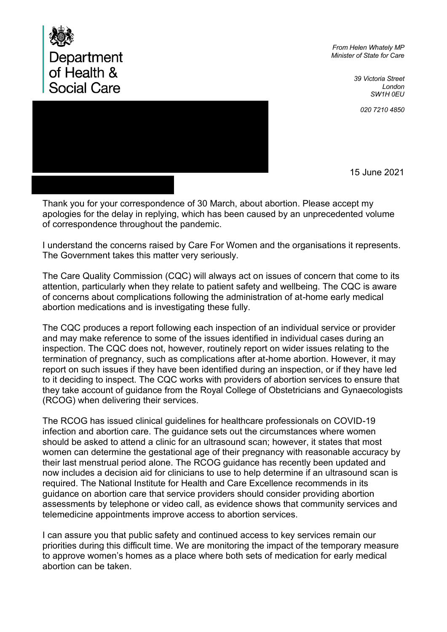

*From Helen Whately MP Minister of State for Care*

> *39 Victoria Street London SW1H 0EU*



15 June 2021

Thank you for your correspondence of 30 March, about abortion. Please accept my apologies for the delay in replying, which has been caused by an unprecedented volume of correspondence throughout the pandemic.

I understand the concerns raised by Care For Women and the organisations it represents. The Government takes this matter very seriously.

The Care Quality Commission (CQC) will always act on issues of concern that come to its attention, particularly when they relate to patient safety and wellbeing. The CQC is aware of concerns about complications following the administration of at-home early medical abortion medications and is investigating these fully.

The CQC produces a report following each inspection of an individual service or provider and may make reference to some of the issues identified in individual cases during an inspection. The CQC does not, however, routinely report on wider issues relating to the termination of pregnancy, such as complications after at-home abortion. However, it may report on such issues if they have been identified during an inspection, or if they have led to it deciding to inspect. The CQC works with providers of abortion services to ensure that they take account of guidance from the Royal College of Obstetricians and Gynaecologists (RCOG) when delivering their services.

The RCOG has issued clinical guidelines for healthcare professionals on COVID-19 infection and abortion care. The guidance sets out the circumstances where women should be asked to attend a clinic for an ultrasound scan; however, it states that most women can determine the gestational age of their pregnancy with reasonable accuracy by their last menstrual period alone. The RCOG guidance has recently been updated and now includes a decision aid for clinicians to use to help determine if an ultrasound scan is required. The National Institute for Health and Care Excellence recommends in its guidance on abortion care that service providers should consider providing abortion assessments by telephone or video call, as evidence shows that community services and telemedicine appointments improve access to abortion services.

I can assure you that public safety and continued access to key services remain our priorities during this difficult time. We are monitoring the impact of the temporary measure to approve women's homes as a place where both sets of medication for early medical abortion can be taken.